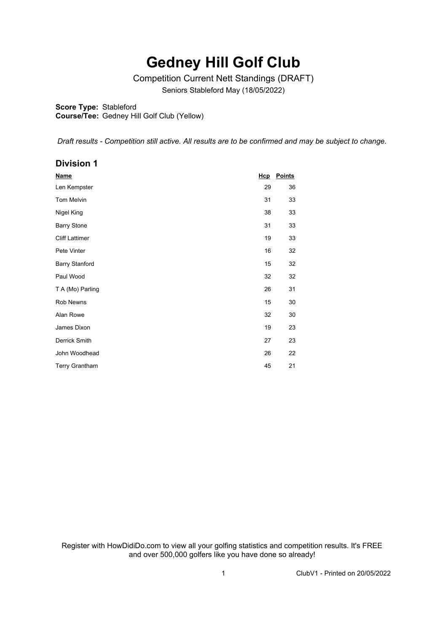## **Gedney Hill Golf Club**

Competition Current Nett Standings (DRAFT) Seniors Stableford May (18/05/2022)

**Score Type:** Stableford

**Course/Tee:** Gedney Hill Golf Club (Yellow)

*Draft results - Competition still active. All results are to be confirmed and may be subject to change.*

| <b>Division 1</b>     |            |               |
|-----------------------|------------|---------------|
| <b>Name</b>           | <u>Hcp</u> | <b>Points</b> |
| Len Kempster          | 29         | 36            |
| Tom Melvin            | 31         | 33            |
| Nigel King            | 38         | 33            |
| <b>Barry Stone</b>    | 31         | 33            |
| <b>Cliff Lattimer</b> | 19         | 33            |
| Pete Vinter           | 16         | 32            |
| <b>Barry Stanford</b> | 15         | 32            |
| Paul Wood             | 32         | 32            |
| T A (Mo) Parling      | 26         | 31            |
| <b>Rob Newns</b>      | 15         | 30            |
| Alan Rowe             | 32         | 30            |
| James Dixon           | 19         | 23            |
| Derrick Smith         | 27         | 23            |
| John Woodhead         | 26         | 22            |
| <b>Terry Grantham</b> | 45         | 21            |
|                       |            |               |

Register with HowDidiDo.com to view all your golfing statistics and competition results. It's FREE and over 500,000 golfers like you have done so already!